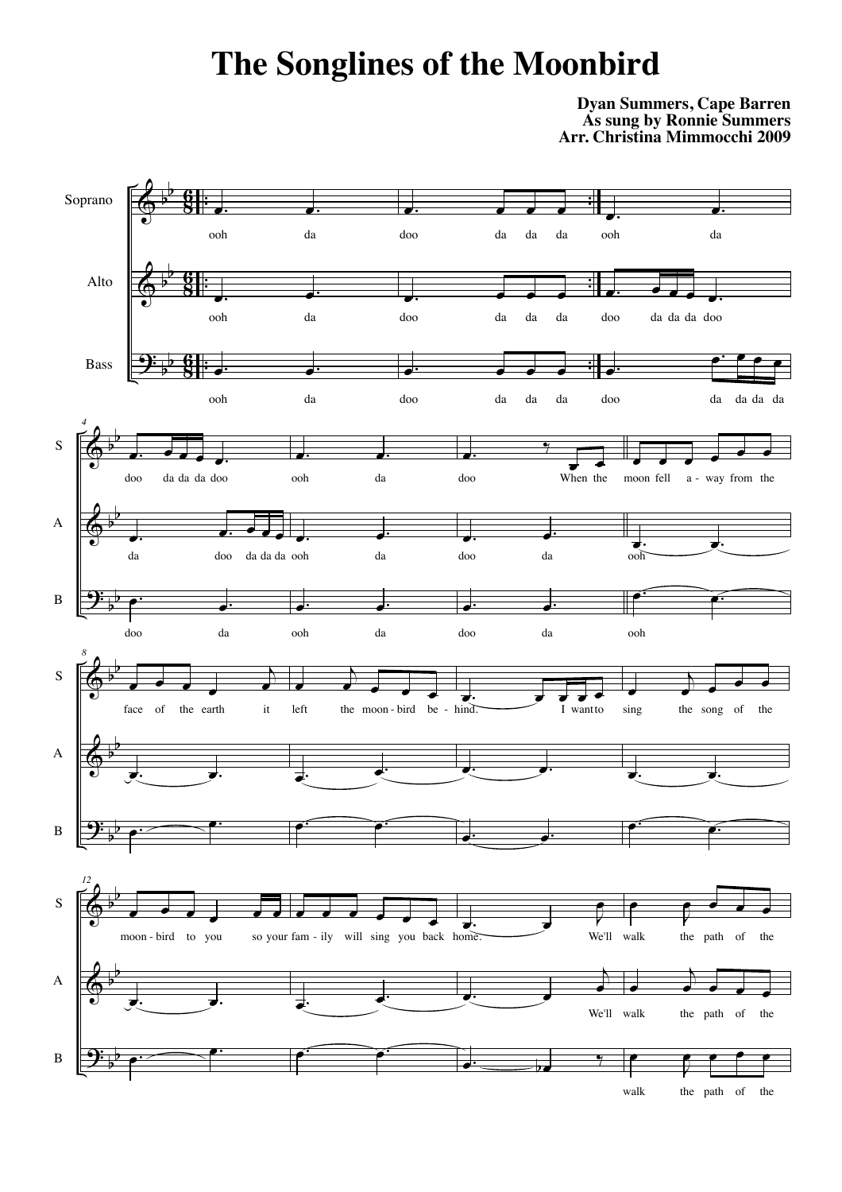## **The Songlines of the Moonbird**

## **Dyan Summers, Cape Barren As sung by Ronnie Summers Arr. Christina Mimmocchi 2009**

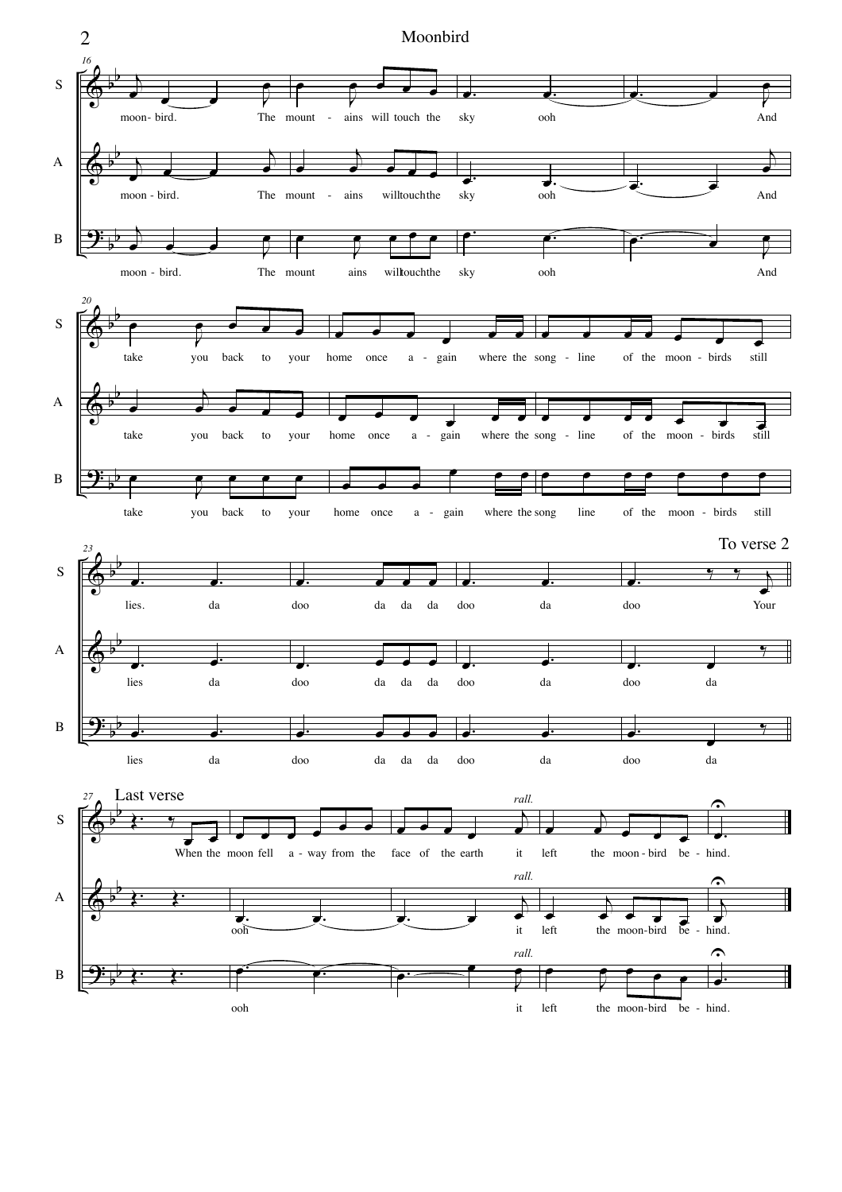